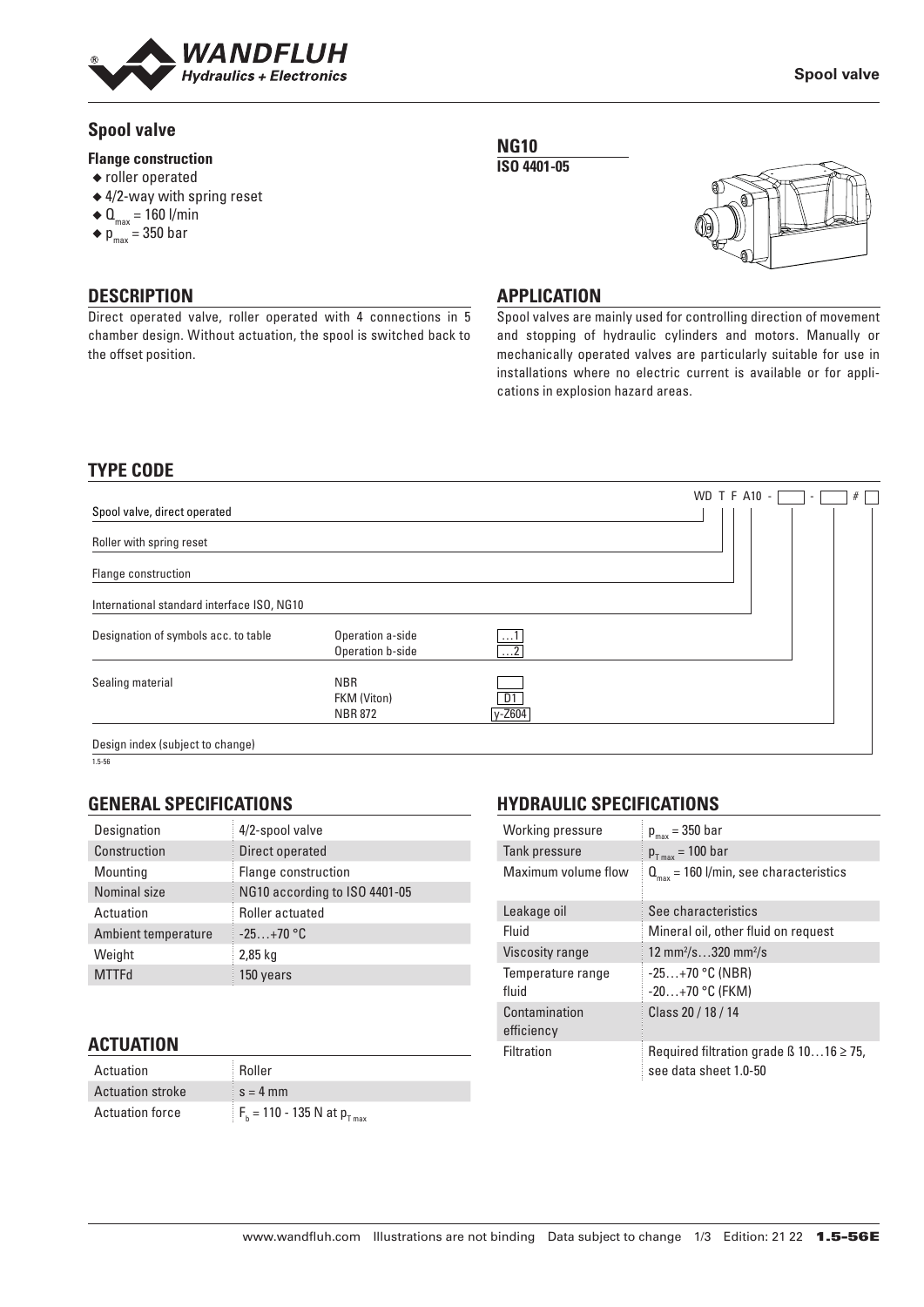

# **Spool valve**

## **Flange construction**

- ◆ roller operated
- ◆ 4/2-way with spring reset
- $\triangleleft$  Q<sub>max</sub> = 160 l/min
- $\bullet$  p<sub>max</sub> = 350 bar

**DESCRIPTION** Direct operated valve, roller operated with 4 connections in 5 chamber design. Without actuation, the spool is switched back to the offset position.

## **NG10**

**ISO 4401-05**



**Spool valve**

## **APPLICATION**

Spool valves are mainly used for controlling direction of movement and stopping of hydraulic cylinders and motors. Manually or mechanically operated valves are particularly suitable for use in installations where no electric current is available or for applications in explosion hazard areas.

# **TYPE CODE**

|                                            |                                             |                                    | <b>WD T F A10 -</b><br>#<br>$\sim$ |
|--------------------------------------------|---------------------------------------------|------------------------------------|------------------------------------|
| Spool valve, direct operated               |                                             |                                    |                                    |
| Roller with spring reset                   |                                             |                                    |                                    |
| Flange construction                        |                                             |                                    |                                    |
| International standard interface ISO, NG10 |                                             |                                    |                                    |
| Designation of symbols acc. to table       | Operation a-side<br>Operation b-side        | $\dots$ 1<br>$\overline{\ldots 2}$ |                                    |
| Sealing material                           | <b>NBR</b><br>FKM (Viton)<br><b>NBR 872</b> | D1<br>y-Z604                       |                                    |
| Design index (subject to change)           |                                             |                                    |                                    |

1.5-56

# **GENERAL SPECIFICATIONS**

| Designation         | 4/2-spool valve               |
|---------------------|-------------------------------|
| Construction        | Direct operated               |
| Mounting            | Flange construction           |
| Nominal size        | NG10 according to ISO 4401-05 |
| Actuation           | Roller actuated               |
| Ambient temperature | $-25+70$ °C                   |
| Weight              | 2,85 kg                       |
| <b>MTTFd</b>        | 150 years                     |

## **ACTUATION**

| Actuation               | <b>Roller</b>                        |
|-------------------------|--------------------------------------|
| <b>Actuation stroke</b> | $s = 4$ mm                           |
| <b>Actuation force</b>  | $F_h = 110 - 135$ N at $p_{T_{max}}$ |

# **HYDRAULIC SPECIFICATIONS**

| Working pressure            | $p_{max}$ = 350 bar                                                        |
|-----------------------------|----------------------------------------------------------------------------|
| Tank pressure               | $p_{T max}$ = 100 bar                                                      |
| Maximum volume flow         | $Q_{\text{max}}$ = 160 l/min, see characteristics                          |
| Leakage oil                 | See characteristics                                                        |
| Fluid                       | Mineral oil, other fluid on request                                        |
| Viscosity range             | 12 mm <sup>2</sup> /s320 mm <sup>2</sup> /s                                |
| Temperature range           | $-25+70$ °C (NBR)                                                          |
| fluid                       | $-20+70$ °C (FKM)                                                          |
| Contamination<br>efficiency | Class 20 / 18 / 14                                                         |
| <b>Filtration</b>           | Required filtration grade $\beta$ 1016 $\geq$ 75,<br>see data sheet 1.0-50 |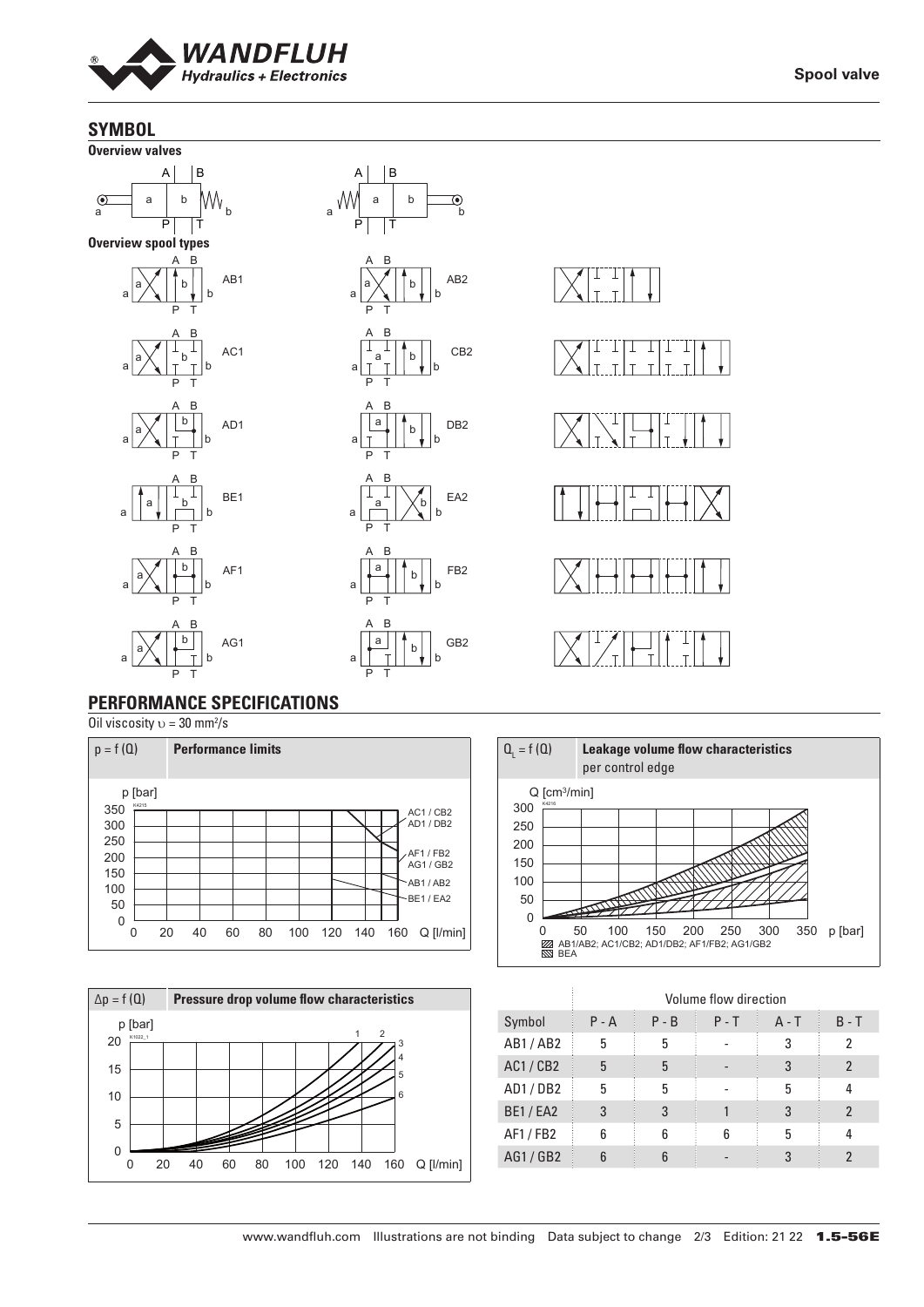

**Spool valve**

## **SYMBOL**



# **PERFORMANCE SPECIFICATIONS**

Oil viscosity  $v = 30$  mm<sup>2</sup>/s







|                | Volume flow direction |         |         |         |                |
|----------------|-----------------------|---------|---------|---------|----------------|
| Symbol         | $P - A$               | $P - B$ | $P - T$ | $A - T$ | $B - T$        |
| AB1/AB2        | 5                     | 5       |         | 3       | 2              |
| <b>AC1/CB2</b> | 5                     | 5       |         | 3       | $\mathfrak{p}$ |
| AD1/DB2        | 5                     | 5       |         | 5       | 4              |
| <b>BE1/EA2</b> | 3                     | 3       |         | 3       | $\mathfrak{p}$ |
| AF1 / FB2      | 6                     | 6       | հ       | 5       | 4              |
| AG1/GB2        | հ                     |         |         | 3       | າ              |